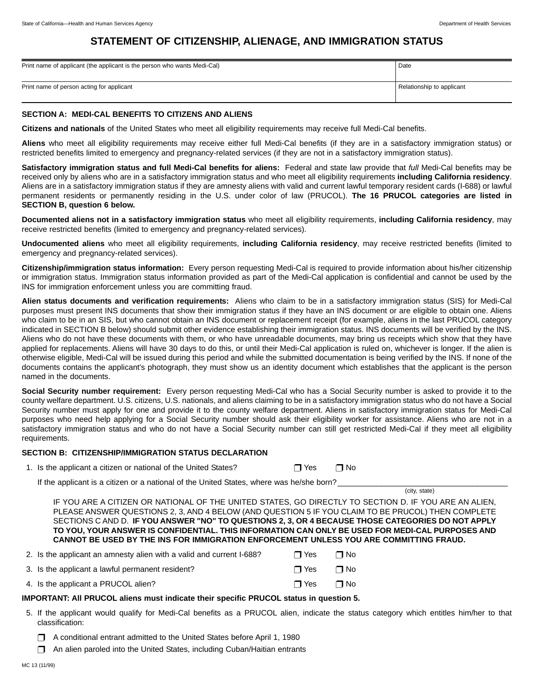(city, state)

# **STATEMENT OF CITIZENSHIP, ALIENAGE, AND IMMIGRATION STATUS**

| Print name of applicant (the applicant is the person who wants Medi-Cal) | Date                      |
|--------------------------------------------------------------------------|---------------------------|
| Print name of person acting for applicant                                | Relationship to applicant |

## **SECTION A: MEDI-CAL BENEFITS TO CITIZENS AND ALIENS**

**Citizens and nationals** of the United States who meet all eligibility requirements may receive full Medi-Cal benefits.

**Aliens** who meet all eligibility requirements may receive either full Medi-Cal benefits (if they are in a satisfactory immigration status) or restricted benefits limited to emergency and pregnancy-related services (if they are not in a satisfactory immigration status).

**Satisfactory immigration status and full Medi-Cal benefits for aliens:** Federal and state law provide that *full* Medi-Cal benefits may be received only by aliens who are in a satisfactory immigration status and who meet all eligibility requirements **including California residency**. Aliens are in a satisfactory immigration status if they are amnesty aliens with valid and current lawful temporary resident cards (I-688) or lawful permanent residents or permanently residing in the U.S. under color of law (PRUCOL). **The 16 PRUCOL categories are listed in SECTION B, question 6 below.**

**Documented aliens not in a satisfactory immigration status** who meet all eligibility requirements, **including California residency**, may receive restricted benefits (limited to emergency and pregnancy-related services).

**Undocumented aliens** who meet all eligibility requirements, **including California residency**, may receive restricted benefits (limited to emergency and pregnancy-related services).

**Citizenship/immigration status information:** Every person requesting Medi-Cal is required to provide information about his/her citizenship or immigration status. Immigration status information provided as part of the Medi-Cal application is confidential and cannot be used by the INS for immigration enforcement unless you are committing fraud.

**Alien status documents and verification requirements:** Aliens who claim to be in a satisfactory immigration status (SIS) for Medi-Cal purposes must present INS documents that show their immigration status if they have an INS document or are eligible to obtain one. Aliens who claim to be in an SIS, but who cannot obtain an INS document or replacement receipt (for example, aliens in the last PRUCOL category indicated in SECTION B below) should submit other evidence establishing their immigration status. INS documents will be verified by the INS. Aliens who do not have these documents with them, or who have unreadable documents, may bring us receipts which show that they have applied for replacements. Aliens will have 30 days to do this, or until their Medi-Cal application is ruled on, whichever is longer. If the alien is otherwise eligible, Medi-Cal will be issued during this period and while the submitted documentation is being verified by the INS. If none of the documents contains the applicant's photograph, they must show us an identity document which establishes that the applicant is the person named in the documents.

**Social Security number requirement:** Every person requesting Medi-Cal who has a Social Security number is asked to provide it to the county welfare department. U.S. citizens, U.S. nationals, and aliens claiming to be in a satisfactory immigration status who do not have a Social Security number must apply for one and provide it to the county welfare department. Aliens in satisfactory immigration status for Medi-Cal purposes who need help applying for a Social Security number should ask their eligibility worker for assistance. Aliens who are not in a satisfactory immigration status and who do not have a Social Security number can still get restricted Medi-Cal if they meet all eligibility requirements.

# **SECTION B: CITIZENSHIP/IMMIGRATION STATUS DECLARATION**

| 1. Is the applicant a citizen or national of the United States? | $\Box$ Yes $\Box$ No |  |  |
|-----------------------------------------------------------------|----------------------|--|--|
|-----------------------------------------------------------------|----------------------|--|--|

If the applicant is a citizen or a national of the United States, where was he/she born?

IF YOU ARE A CITIZEN OR NATIONAL OF THE UNITED STATES, GO DIRECTLY TO SECTION D. IF YOU ARE AN ALIEN, PLEASE ANSWER QUESTIONS 2, 3, AND 4 BELOW (AND QUESTION 5 IF YOU CLAIM TO BE PRUCOL) THEN COMPLETE SECTIONS C AND D. **IF YOU ANSWER "NO" TO QUESTIONS 2, 3, OR 4 BECAUSE THOSE CATEGORIES DO NOT APPLY TO YOU, YOUR ANSWER IS CONFIDENTIAL. THIS INFORMATION CAN ONLY BE USED FOR MEDI-CAL PURPOSES AND CANNOT BE USED BY THE INS FOR IMMIGRATION ENFORCEMENT UNLESS YOU ARE COMMITTING FRAUD.**

| 2. Is the applicant an amnesty alien with a valid and current I-688? | ∩ Yes      | $\Box$ No |
|----------------------------------------------------------------------|------------|-----------|
| 3. Is the applicant a lawful permanent resident?                     | □ Yes      | ⊟ No      |
| 4. Is the applicant a PRUCOL alien?                                  | $\Box$ Yes | ⊟ No      |

#### **IMPORTANT: All PRUCOL aliens must indicate their specific PRUCOL status in question 5.**

- 5. If the applicant would qualify for Medi-Cal benefits as a PRUCOL alien, indicate the status category which entitles him/her to that classification:
	- ❒ A conditional entrant admitted to the United States before April 1, 1980
	- ❒ An alien paroled into the United States, including Cuban/Haitian entrants